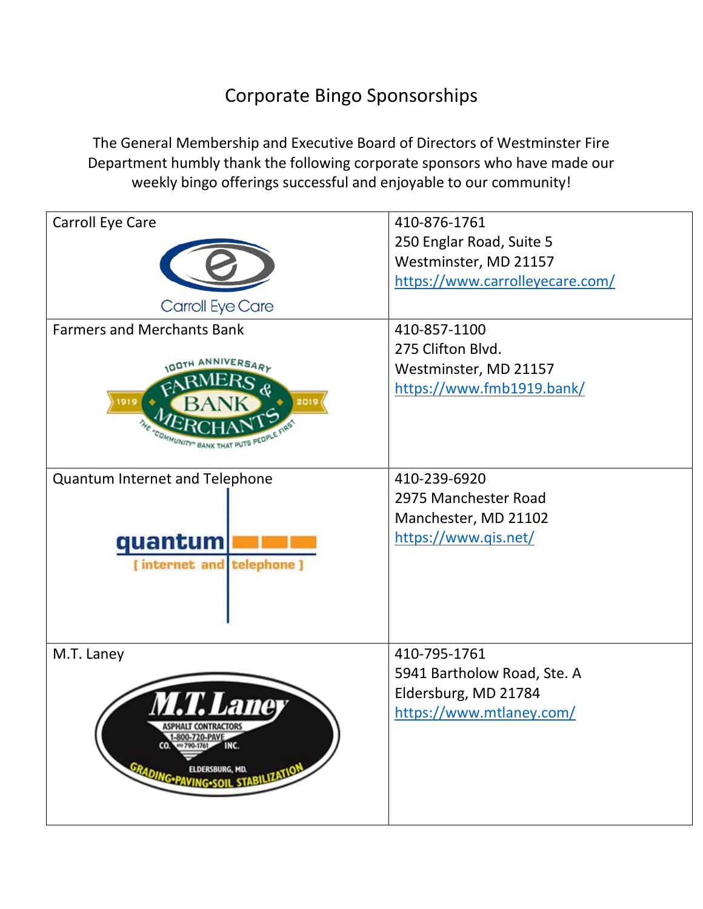## Corporate Bingo Sponsorships

The General Membership and Executive Board of Directors of Westminster Fire Department humbly thank the following corporate sponsors who have made our weekly bingo offerings successful and enjoyable to our community!

| Carroll Eye Care                              | 410-876-1761                    |
|-----------------------------------------------|---------------------------------|
|                                               | 250 Englar Road, Suite 5        |
|                                               | Westminster, MD 21157           |
|                                               | https://www.carrolleyecare.com/ |
|                                               |                                 |
| Carroll Eye Care                              |                                 |
| <b>Farmers and Merchants Bank</b>             | 410-857-1100                    |
|                                               | 275 Clifton Blvd.               |
| <b>DOTH ANNIVERSARY</b>                       | Westminster, MD 21157           |
|                                               | https://www.fmb1919.bank/       |
| 2019                                          |                                 |
|                                               |                                 |
|                                               |                                 |
|                                               |                                 |
| Quantum Internet and Telephone                | 410-239-6920                    |
|                                               | 2975 Manchester Road            |
|                                               | Manchester, MD 21102            |
|                                               |                                 |
| quantum                                       | https://www.qis.net/            |
| [internet and telephone]                      |                                 |
|                                               |                                 |
|                                               |                                 |
|                                               |                                 |
|                                               |                                 |
| M.T. Laney                                    | 410-795-1761                    |
|                                               | 5941 Bartholow Road, Ste. A     |
|                                               | Eldersburg, MD 21784            |
| <i><b>M.T. Laney</b></i>                      | https://www.mtlaney.com/        |
| <b>ASPHALT CONTRACTORS</b>                    |                                 |
| 1-800-720-PAVE<br>$CO.$ 400 790-1761 $-$ INC. |                                 |
|                                               |                                 |
| GRADING PAVING SOIL STABILIZATION             |                                 |
|                                               |                                 |
|                                               |                                 |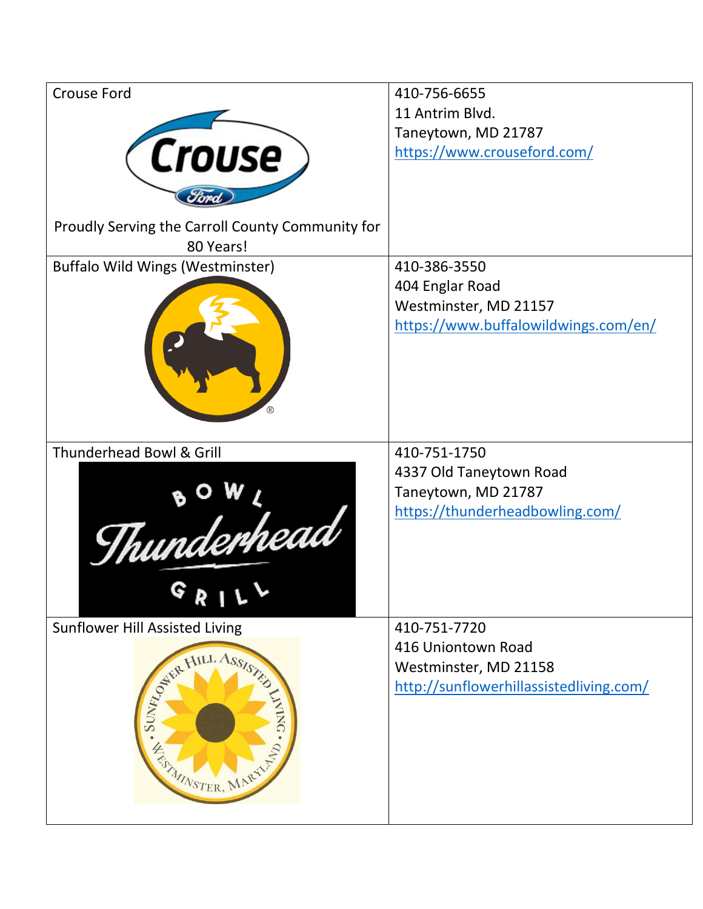| <b>Crouse Ford</b>                                            | 410-756-6655                                                                      |
|---------------------------------------------------------------|-----------------------------------------------------------------------------------|
|                                                               | 11 Antrim Blvd.                                                                   |
|                                                               | Taneytown, MD 21787                                                               |
| <b>Crouse</b>                                                 | https://www.crouseford.com/                                                       |
|                                                               |                                                                                   |
| Proudly Serving the Carroll County Community for<br>80 Years! |                                                                                   |
| <b>Buffalo Wild Wings (Westminster)</b>                       | 410-386-3550                                                                      |
|                                                               | 404 Englar Road                                                                   |
|                                                               | Westminster, MD 21157                                                             |
|                                                               | https://www.buffalowildwings.com/en/                                              |
| Thunderhead Bowl & Grill                                      | 410-751-1750                                                                      |
| Thunderhead<br>R I                                            | 4337 Old Taneytown Road<br>Taneytown, MD 21787<br>https://thunderheadbowling.com/ |
| <b>Sunflower Hill Assisted Living</b>                         | 410-751-7720                                                                      |
|                                                               | 416 Uniontown Road                                                                |
|                                                               | Westminster, MD 21158                                                             |
| STATE HILL Assistant<br><b>NING</b><br>FISHINGTER, MARYLES    | http://sunflowerhillassistedliving.com/                                           |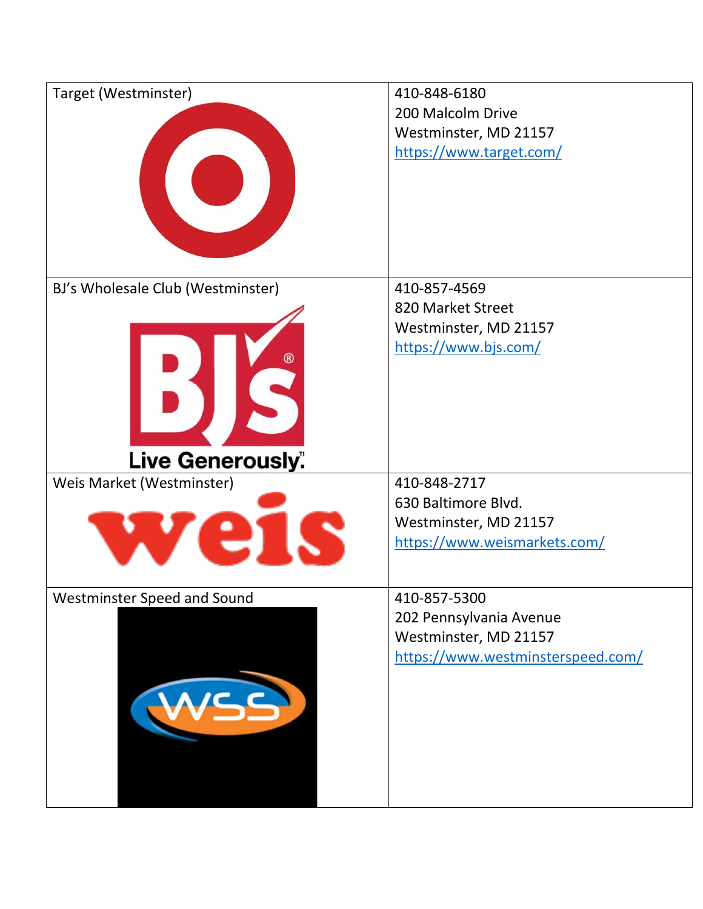| Target (Westminster)              | 410-848-6180                      |
|-----------------------------------|-----------------------------------|
|                                   | 200 Malcolm Drive                 |
|                                   | Westminster, MD 21157             |
|                                   | https://www.target.com/           |
|                                   |                                   |
|                                   |                                   |
|                                   |                                   |
|                                   |                                   |
|                                   |                                   |
|                                   |                                   |
| BJ's Wholesale Club (Westminster) | 410-857-4569                      |
|                                   | 820 Market Street                 |
|                                   | Westminster, MD 21157             |
|                                   | https://www.bjs.com/              |
|                                   |                                   |
|                                   |                                   |
|                                   |                                   |
|                                   |                                   |
|                                   |                                   |
| Live Generously".                 |                                   |
| Weis Market (Westminster)         | 410-848-2717                      |
|                                   | 630 Baltimore Blvd.               |
|                                   | Westminster, MD 21157             |
|                                   | https://www.weismarkets.com/      |
|                                   |                                   |
| Westminster Speed and Sound       | 410-857-5300                      |
|                                   | 202 Pennsylvania Avenue           |
|                                   | Westminster, MD 21157             |
|                                   | https://www.westminsterspeed.com/ |
|                                   |                                   |
| $\sim$ $\sim$                     |                                   |
|                                   |                                   |
|                                   |                                   |
|                                   |                                   |
|                                   |                                   |
|                                   |                                   |
|                                   |                                   |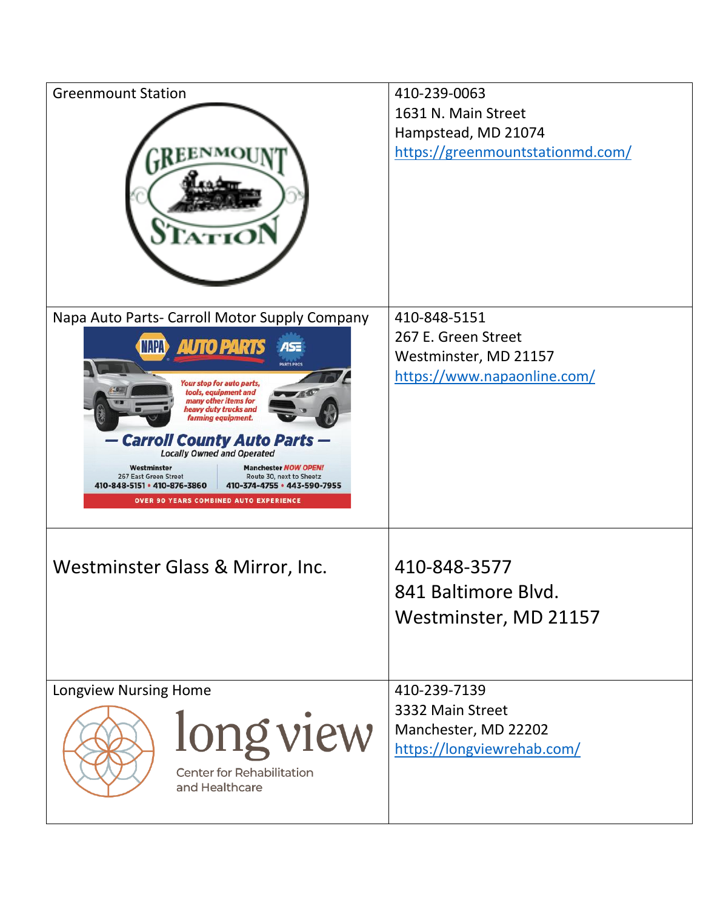| <b>Greenmount Station</b>                                                                                       | 410-239-0063                     |
|-----------------------------------------------------------------------------------------------------------------|----------------------------------|
|                                                                                                                 | 1631 N. Main Street              |
|                                                                                                                 | Hampstead, MD 21074              |
| <b>REENMO</b>                                                                                                   | https://greenmountstationmd.com/ |
| Napa Auto Parts- Carroll Motor Supply Company                                                                   | 410-848-5151                     |
|                                                                                                                 | 267 E. Green Street              |
| <b>AUTO PARTS</b><br><b>NAPA</b><br>AS:<br><b>ARTS PROT</b>                                                     | Westminster, MD 21157            |
| Your stop for auto parts,                                                                                       | https://www.napaonline.com/      |
| tools, equipment and<br>many other items for<br>heavy duty trucks and                                           |                                  |
| farming equipment.                                                                                              |                                  |
| — Carroll County Auto Parts —<br><b>Locally Owned and Operated</b>                                              |                                  |
| Westminster<br><b>Manchester NOW OPEN!</b>                                                                      |                                  |
| 267 East Green Street<br>Route 30, next to Sheetz<br>410-848-5151 • 410-876-3860<br>410-374-4755 · 443-590-7955 |                                  |
| <b>OVER 90 YEARS COMBINED AUTO EXPERIENCE</b>                                                                   |                                  |
|                                                                                                                 |                                  |
| Westminster Glass & Mirror, Inc.                                                                                | 410-848-3577                     |
|                                                                                                                 | 841 Baltimore Blvd               |
|                                                                                                                 | Westminster, MD 21157            |
|                                                                                                                 |                                  |
|                                                                                                                 |                                  |
| <b>Longview Nursing Home</b>                                                                                    | 410-239-7139                     |
|                                                                                                                 | 3332 Main Street                 |
| long view                                                                                                       | Manchester, MD 22202             |
|                                                                                                                 | https://longviewrehab.com/       |
| Center for Rehabilitation                                                                                       |                                  |
| and Healthcare                                                                                                  |                                  |
|                                                                                                                 |                                  |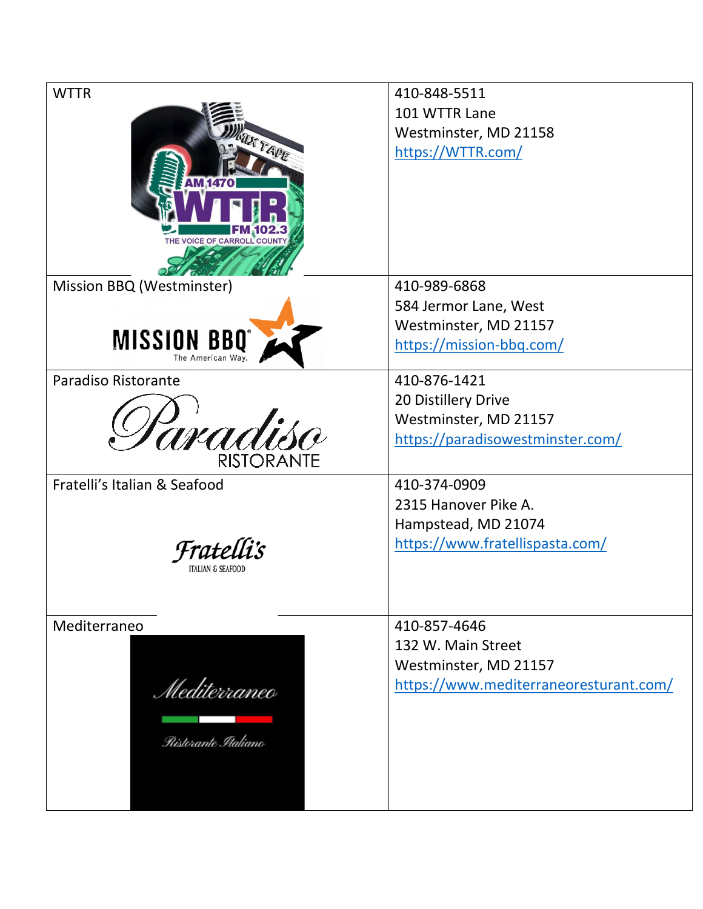| <b>WTTR</b>                  | 410-848-5511                           |
|------------------------------|----------------------------------------|
|                              | 101 WTTR Lane                          |
|                              | Westminster, MD 21158                  |
| RTAPE                        | https://WTTR.com/                      |
|                              |                                        |
|                              |                                        |
|                              |                                        |
|                              |                                        |
| THE VOICE OF CARROLL COUNTY  |                                        |
|                              |                                        |
| Mission BBQ (Westminster)    | 410-989-6868                           |
|                              | 584 Jermor Lane, West                  |
|                              | Westminster, MD 21157                  |
| <b>MISSION BBQ°</b>          | https://mission-bbq.com/               |
|                              |                                        |
| Paradiso Ristorante          | 410-876-1421                           |
|                              | 20 Distillery Drive                    |
|                              | Westminster, MD 21157                  |
| aradisc                      | https://paradisowestminster.com/       |
| <b>RISTORANTE</b>            |                                        |
| Fratelli's Italian & Seafood | 410-374-0909                           |
|                              | 2315 Hanover Pike A.                   |
|                              | Hampstead, MD 21074                    |
| Fratel                       | https://www.fratellispasta.com/        |
|                              |                                        |
|                              |                                        |
|                              |                                        |
| Mediterraneo                 | 410-857-4646                           |
|                              | 132 W. Main Street                     |
|                              | Westminster, MD 21157                  |
| Mediterraneo                 | https://www.mediterraneoresturant.com/ |
|                              |                                        |
|                              |                                        |
| Ristorante Italiano          |                                        |
|                              |                                        |
|                              |                                        |
|                              |                                        |
|                              |                                        |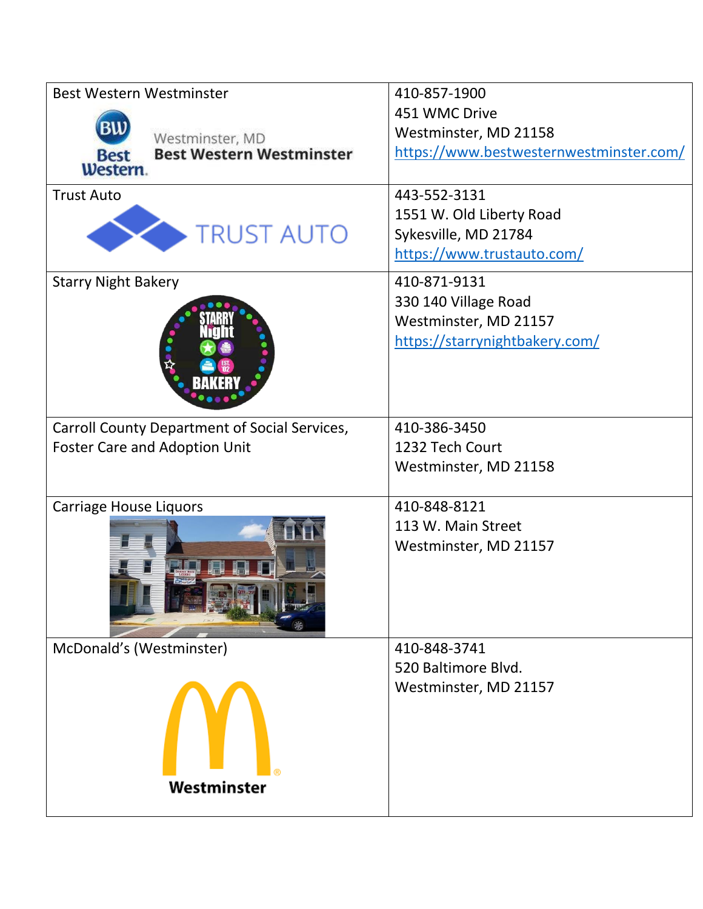| <b>Best Western Westminster</b>                | 410-857-1900                            |
|------------------------------------------------|-----------------------------------------|
|                                                | 451 WMC Drive                           |
| Westminster, MD                                | Westminster, MD 21158                   |
| <b>Best Western Westminster</b><br><b>Best</b> | https://www.bestwesternwestminster.com/ |
| Western.                                       |                                         |
| <b>Trust Auto</b>                              | 443-552-3131                            |
|                                                | 1551 W. Old Liberty Road                |
| <b>TRUST AUTO</b>                              | Sykesville, MD 21784                    |
|                                                | https://www.trustauto.com/              |
| <b>Starry Night Bakery</b>                     | 410-871-9131                            |
|                                                | 330 140 Village Road                    |
|                                                | Westminster, MD 21157                   |
|                                                | https://starrynightbakery.com/          |
|                                                |                                         |
|                                                |                                         |
|                                                |                                         |
| Carroll County Department of Social Services,  | 410-386-3450                            |
| <b>Foster Care and Adoption Unit</b>           | 1232 Tech Court                         |
|                                                | Westminster, MD 21158                   |
|                                                |                                         |
| <b>Carriage House Liquors</b>                  | 410-848-8121                            |
|                                                | 113 W. Main Street                      |
|                                                | Westminster, MD 21157                   |
|                                                |                                         |
|                                                |                                         |
|                                                |                                         |
|                                                |                                         |
| McDonald's (Westminster)                       | 410-848-3741                            |
|                                                | 520 Baltimore Blvd.                     |
|                                                | Westminster, MD 21157                   |
|                                                |                                         |
|                                                |                                         |
|                                                |                                         |
|                                                |                                         |
| Westminster                                    |                                         |
|                                                |                                         |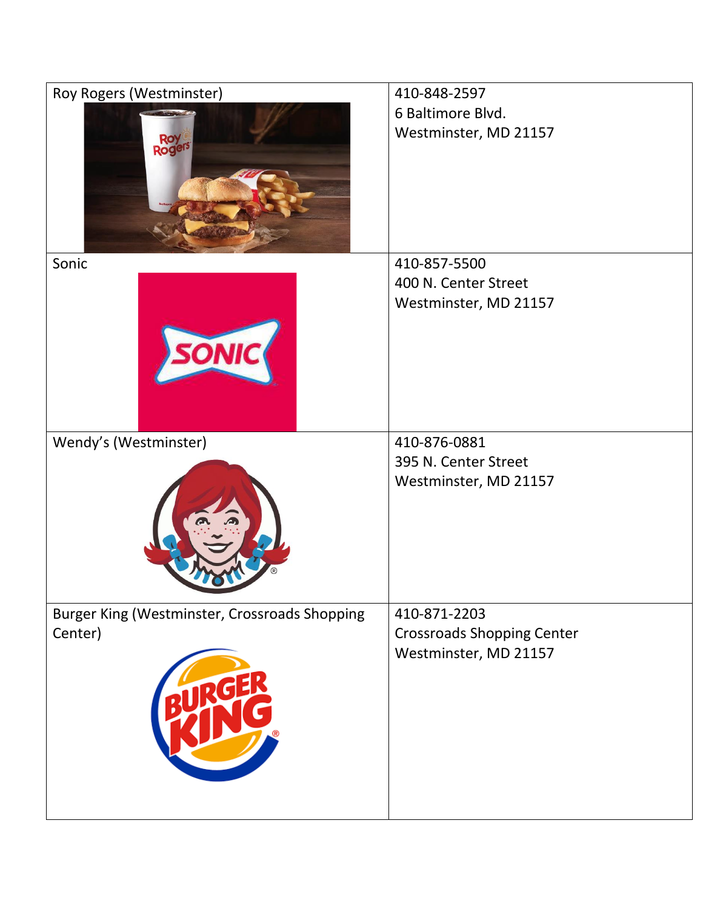| Roy Rogers (Westminster)                      | 410-848-2597                      |
|-----------------------------------------------|-----------------------------------|
|                                               | 6 Baltimore Blvd.                 |
|                                               | Westminster, MD 21157             |
| Roge                                          |                                   |
|                                               |                                   |
|                                               |                                   |
|                                               |                                   |
|                                               |                                   |
| Sonic                                         | 410-857-5500                      |
|                                               | 400 N. Center Street              |
|                                               | Westminster, MD 21157             |
|                                               |                                   |
|                                               |                                   |
|                                               |                                   |
|                                               |                                   |
|                                               |                                   |
| Wendy's (Westminster)                         | 410-876-0881                      |
|                                               | 395 N. Center Street              |
|                                               | Westminster, MD 21157             |
|                                               |                                   |
|                                               |                                   |
|                                               |                                   |
|                                               |                                   |
|                                               |                                   |
| Burger King (Westminster, Crossroads Shopping | 410-871-2203                      |
| Center)                                       | <b>Crossroads Shopping Center</b> |
|                                               | Westminster, MD 21157             |
|                                               |                                   |
|                                               |                                   |
|                                               |                                   |
|                                               |                                   |
|                                               |                                   |
|                                               |                                   |
|                                               |                                   |